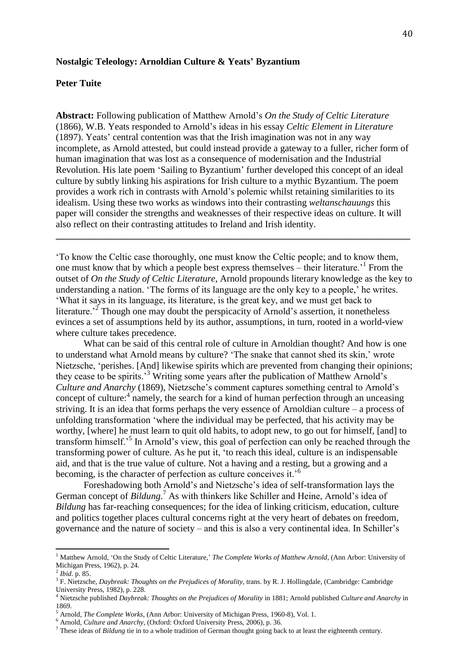## **Nostalgic Teleology: Arnoldian Culture & Yeats' Byzantium**

# **Peter Tuite**

**Abstract:** Following publication of Matthew Arnold's *On the Study of Celtic Literature* (1866), W.B. Yeats responded to Arnold's ideas in his essay *Celtic Element in Literature* (1897). Yeats' central contention was that the Irish imagination was not in any way incomplete, as Arnold attested, but could instead provide a gateway to a fuller, richer form of human imagination that was lost as a consequence of modernisation and the Industrial Revolution. His late poem 'Sailing to Byzantium' further developed this concept of an ideal culture by subtly linking his aspirations for Irish culture to a mythic Byzantium. The poem provides a work rich in contrasts with Arnold's polemic whilst retaining similarities to its idealism. Using these two works as windows into their contrasting *weltanschauungs* this paper will consider the strengths and weaknesses of their respective ideas on culture. It will also reflect on their contrasting attitudes to Ireland and Irish identity.

'To know the Celtic case thoroughly, one must know the Celtic people; and to know them, one must know that by which a people best express themselves – their literature.'<sup>1</sup> From the outset of *On the Study of Celtic Literature,* Arnold propounds literary knowledge as the key to understanding a nation. 'The forms of its language are the only key to a people,' he writes. 'What it says in its language, its literature, is the great key, and we must get back to literature.<sup> $2^2$ </sup> Though one may doubt the perspicacity of Arnold's assertion, it nonetheless evinces a set of assumptions held by its author, assumptions, in turn, rooted in a world-view where culture takes precedence.

**\_\_\_\_\_\_\_\_\_\_\_\_\_\_\_\_\_\_\_\_\_\_\_\_\_\_\_\_\_\_\_\_\_\_\_\_\_\_\_\_\_\_\_\_\_\_\_\_\_\_\_\_\_\_\_\_\_\_\_\_\_\_\_\_\_\_\_\_\_\_\_\_\_\_\_**

What can be said of this central role of culture in Arnoldian thought? And how is one to understand what Arnold means by culture? 'The snake that cannot shed its skin,' wrote Nietzsche, 'perishes. [And] likewise spirits which are prevented from changing their opinions; they cease to be spirits.'<sup>3</sup> Writing some years after the publication of Matthew Arnold's *Culture and Anarchy* (1869), Nietzsche's comment captures something central to Arnold's concept of culture:<sup>4</sup> namely, the search for a kind of human perfection through an unceasing striving. It is an idea that forms perhaps the very essence of Arnoldian culture – a process of unfolding transformation 'where the individual may be perfected, that his activity may be worthy, [where] he must learn to quit old habits, to adopt new, to go out for himself, [and] to transform himself.<sup>5</sup> In Arnold's view, this goal of perfection can only be reached through the transforming power of culture. As he put it, 'to reach this ideal, culture is an indispensable aid, and that is the true value of culture. Not a having and a resting, but a growing and a becoming, is the character of perfection as culture conceives it.'<sup>6</sup>

Foreshadowing both Arnold's and Nietzsche's idea of self-transformation lays the German concept of *Bildung*. <sup>7</sup> As with thinkers like Schiller and Heine, Arnold's idea of *Bildung* has far-reaching consequences; for the idea of linking criticism, education, culture and politics together places cultural concerns right at the very heart of debates on freedom, governance and the nature of society – and this is also a very continental idea. In Schiller's

l

<sup>&</sup>lt;sup>1</sup> Matthew Arnold, 'On the Study of Celtic Literature,' *The Complete Works of Matthew Arnold*, (Ann Arbor: University of Michigan Press, 1962), p. 24.

<sup>2</sup> *Ibid*. p. 85.

<sup>3</sup> F. Nietzsche, *Daybreak: Thoughts on the Prejudices of Morality*, trans. by R. J. Hollingdale, (Cambridge: Cambridge University Press, 1982), p. 228.

<sup>4</sup> Nietzsche published *Daybreak: Thoughts on the Prejudices of Morality* in 1881; Arnold published *Culture and Anarchy* in  $1869.$ 

<sup>5</sup> Arnold, *The Complete Works*, (Ann Arbor: University of Michigan Press, 1960-8), Vol. 1.

<sup>6</sup> Arnold, *Culture and Anarchy*, (Oxford: Oxford University Press, 2006), p. 36.

<sup>7</sup> These ideas of *Bildung* tie in to a whole tradition of German thought going back to at least the eighteenth century.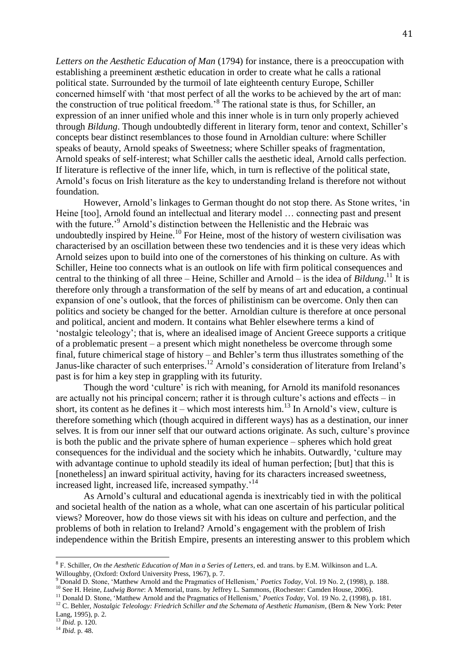*Letters on the Aesthetic Education of Man* (1794) for instance, there is a preoccupation with establishing a preeminent æsthetic education in order to create what he calls a rational political state. Surrounded by the turmoil of late eighteenth century Europe, Schiller concerned himself with 'that most perfect of all the works to be achieved by the art of man: the construction of true political freedom.'<sup>8</sup> The rational state is thus, for Schiller, an expression of an inner unified whole and this inner whole is in turn only properly achieved through *Bildung*. Though undoubtedly different in literary form, tenor and context, Schiller's concepts bear distinct resemblances to those found in Arnoldian culture: where Schiller speaks of beauty, Arnold speaks of Sweetness; where Schiller speaks of fragmentation, Arnold speaks of self-interest; what Schiller calls the aesthetic ideal, Arnold calls perfection. If literature is reflective of the inner life, which, in turn is reflective of the political state, Arnold's focus on Irish literature as the key to understanding Ireland is therefore not without foundation.

However, Arnold's linkages to German thought do not stop there. As Stone writes, 'in Heine [too], Arnold found an intellectual and literary model … connecting past and present with the future.<sup>'9</sup> Arnold's distinction between the Hellenistic and the Hebraic was undoubtedly inspired by Heine.<sup>10</sup> For Heine, most of the history of western civilisation was characterised by an oscillation between these two tendencies and it is these very ideas which Arnold seizes upon to build into one of the cornerstones of his thinking on culture. As with Schiller, Heine too connects what is an outlook on life with firm political consequences and central to the thinking of all three – Heine, Schiller and Arnold – is the idea of *Bildung*.<sup>11</sup> It is therefore only through a transformation of the self by means of art and education, a continual expansion of one's outlook, that the forces of philistinism can be overcome. Only then can politics and society be changed for the better. Arnoldian culture is therefore at once personal and political, ancient and modern. It contains what Behler elsewhere terms a kind of 'nostalgic teleology'; that is, where an idealised image of Ancient Greece supports a critique of a problematic present – a present which might nonetheless be overcome through some final, future chimerical stage of history – and Behler's term thus illustrates something of the Janus-like character of such enterprises.<sup>12</sup> Arnold's consideration of literature from Ireland's past is for him a key step in grappling with its futurity.

Though the word 'culture' is rich with meaning, for Arnold its manifold resonances are actually not his principal concern; rather it is through culture's actions and effects – in short, its content as he defines it – which most interests him.<sup>13</sup> In Arnold's view, culture is therefore something which (though acquired in different ways) has as a destination, our inner selves. It is from our inner self that our outward actions originate. As such, culture's province is both the public and the private sphere of human experience – spheres which hold great consequences for the individual and the society which he inhabits. Outwardly, 'culture may with advantage continue to uphold steadily its ideal of human perfection; [but] that this is [nonetheless] an inward spiritual activity, having for its characters increased sweetness, increased light, increased life, increased sympathy.'<sup>14</sup>

As Arnold's cultural and educational agenda is inextricably tied in with the political and societal health of the nation as a whole, what can one ascertain of his particular political views? Moreover, how do those views sit with his ideas on culture and perfection, and the problems of both in relation to Ireland? Arnold's engagement with the problem of Irish independence within the British Empire, presents an interesting answer to this problem which

 $\overline{\phantom{a}}$ 

<sup>8</sup> F. Schiller, *On the Aesthetic Education of Man in a Series of Letters*, ed. and trans. by E.M. Wilkinson and L.A. Willoughby, (Oxford: Oxford University Press, 1967), p. 7.

<sup>9</sup> Donald D. Stone, 'Matthew Arnold and the Pragmatics of Hellenism,' *Poetics Today*, Vol. 19 No. 2, (1998), p. 188. <sup>10</sup> See H. Heine, *Ludwig Borne*: A Memorial, trans. by Jeffrey L. Sammons, (Rochester: Camden House, 2006).

<sup>11</sup> Donald D. Stone, 'Matthew Arnold and the Pragmatics of Hellenism,' *Poetics Today*, Vol. 19 No. 2, (1998), p. 181.

<sup>12</sup> C. Behler, *Nostalgic Teleology: Friedrich Schiller and the Schemata of Aesthetic Humanism*, (Bern & New York: Peter Lang, 1995), p. 2.

<sup>13</sup> *Ibid*. p. 120.

<sup>14</sup> *Ibid*. p. 48.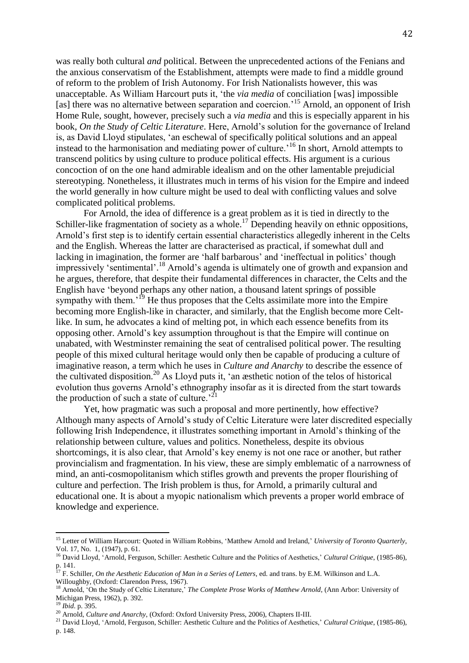was really both cultural *and* political. Between the unprecedented actions of the Fenians and the anxious conservatism of the Establishment, attempts were made to find a middle ground of reform to the problem of Irish Autonomy. For Irish Nationalists however, this was unacceptable. As William Harcourt puts it, 'the *via media* of conciliation [was] impossible [as] there was no alternative between separation and coercion.'<sup>15</sup> Arnold, an opponent of Irish Home Rule, sought, however, precisely such a *via media* and this is especially apparent in his book, *On the Study of Celtic Literature*. Here, Arnold's solution for the governance of Ireland is, as David Lloyd stipulates, 'an eschewal of specifically political solutions and an appeal instead to the harmonisation and mediating power of culture.'<sup>16</sup> In short, Arnold attempts to transcend politics by using culture to produce political effects. His argument is a curious concoction of on the one hand admirable idealism and on the other lamentable prejudicial stereotyping. Nonetheless, it illustrates much in terms of his vision for the Empire and indeed the world generally in how culture might be used to deal with conflicting values and solve complicated political problems.

For Arnold, the idea of difference is a great problem as it is tied in directly to the Schiller-like fragmentation of society as a whole.<sup>17</sup> Depending heavily on ethnic oppositions, Arnold's first step is to identify certain essential characteristics allegedly inherent in the Celts and the English. Whereas the latter are characterised as practical, if somewhat dull and lacking in imagination, the former are 'half barbarous' and 'ineffectual in politics' though impressively 'sentimental'. <sup>18</sup> Arnold's agenda is ultimately one of growth and expansion and he argues, therefore, that despite their fundamental differences in character, the Celts and the English have 'beyond perhaps any other nation, a thousand latent springs of possible sympathy with them.<sup>19</sup> He thus proposes that the Celts assimilate more into the Empire becoming more English-like in character, and similarly, that the English become more Celtlike. In sum, he advocates a kind of melting pot, in which each essence benefits from its opposing other. Arnold's key assumption throughout is that the Empire will continue on unabated, with Westminster remaining the seat of centralised political power. The resulting people of this mixed cultural heritage would only then be capable of producing a culture of imaginative reason, a term which he uses in *Culture and Anarchy* to describe the essence of the cultivated disposition.<sup>20</sup> As Lloyd puts it, 'an æsthetic notion of the telos of historical evolution thus governs Arnold's ethnography insofar as it is directed from the start towards the production of such a state of culture.<sup> $21$ </sup>

Yet, how pragmatic was such a proposal and more pertinently, how effective? Although many aspects of Arnold's study of Celtic Literature were later discredited especially following Irish Independence, it illustrates something important in Arnold's thinking of the relationship between culture, values and politics. Nonetheless, despite its obvious shortcomings, it is also clear, that Arnold's key enemy is not one race or another, but rather provincialism and fragmentation. In his view, these are simply emblematic of a narrowness of mind, an anti-cosmopolitanism which stifles growth and prevents the proper flourishing of culture and perfection. The Irish problem is thus, for Arnold, a primarily cultural and educational one. It is about a myopic nationalism which prevents a proper world embrace of knowledge and experience.

 $\overline{\phantom{a}}$ 

<sup>15</sup> Letter of William Harcourt: Quoted in William Robbins, 'Matthew Arnold and Ireland,' *University of Toronto Quarterly*, Vol. 17, No. 1, (1947), p. 61.

<sup>16</sup> David Lloyd, 'Arnold, Ferguson, Schiller: Aesthetic Culture and the Politics of Aesthetics,' *Cultural Critique*, (1985-86), p. 141.

<sup>17</sup> F. Schiller, *On the Aesthetic Education of Man in a Series of Letters*, ed. and trans. by E.M. Wilkinson and L.A. Willoughby, (Oxford: Clarendon Press, 1967).

<sup>&</sup>lt;sup>18</sup> Arnold, 'On the Study of Celtic Literature,' *The Complete Prose Works of Matthew Arnold*, (Ann Arbor: University of Michigan Press, 1962), p. 392.

<sup>19</sup> *Ibid*. p. 395.

<sup>20</sup> Arnold, *Culture and Anarchy*, (Oxford: Oxford University Press, 2006), Chapters II-III.

<sup>21</sup> David Lloyd, 'Arnold, Ferguson, Schiller: Aesthetic Culture and the Politics of Aesthetics,' *Cultural Critique*, (1985-86), p. 148.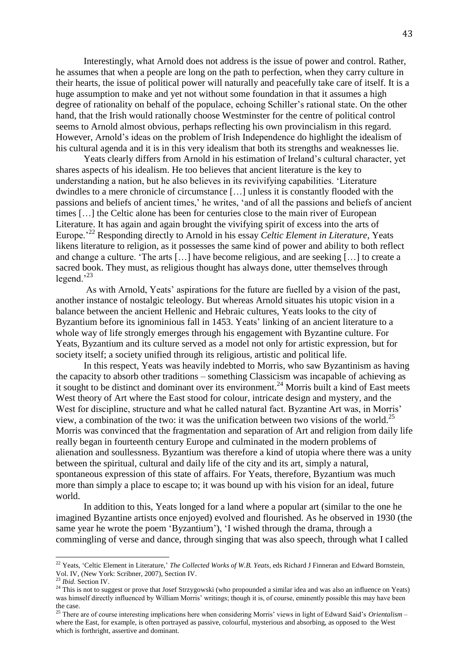Interestingly, what Arnold does not address is the issue of power and control. Rather, he assumes that when a people are long on the path to perfection, when they carry culture in their hearts, the issue of political power will naturally and peacefully take care of itself. It is a huge assumption to make and yet not without some foundation in that it assumes a high degree of rationality on behalf of the populace, echoing Schiller's rational state. On the other hand, that the Irish would rationally choose Westminster for the centre of political control seems to Arnold almost obvious, perhaps reflecting his own provincialism in this regard. However, Arnold's ideas on the problem of Irish Independence do highlight the idealism of his cultural agenda and it is in this very idealism that both its strengths and weaknesses lie.

Yeats clearly differs from Arnold in his estimation of Ireland's cultural character, yet shares aspects of his idealism. He too believes that ancient literature is the key to understanding a nation, but he also believes in its revivifying capabilities. 'Literature dwindles to a mere chronicle of circumstance […] unless it is constantly flooded with the passions and beliefs of ancient times,' he writes, 'and of all the passions and beliefs of ancient times […] the Celtic alone has been for centuries close to the main river of European Literature. It has again and again brought the vivifying spirit of excess into the arts of Europe.'<sup>22</sup> Responding directly to Arnold in his essay *Celtic Element in Literature*, Yeats likens literature to religion, as it possesses the same kind of power and ability to both reflect and change a culture. 'The arts […] have become religious, and are seeking […] to create a sacred book. They must, as religious thought has always done, utter themselves through legend. $23$ 

As with Arnold, Yeats' aspirations for the future are fuelled by a vision of the past, another instance of nostalgic teleology. But whereas Arnold situates his utopic vision in a balance between the ancient Hellenic and Hebraic cultures, Yeats looks to the city of Byzantium before its ignominious fall in 1453. Yeats' linking of an ancient literature to a whole way of life strongly emerges through his engagement with Byzantine culture. For Yeats, Byzantium and its culture served as a model not only for artistic expression, but for society itself; a society unified through its religious, artistic and political life.

In this respect, Yeats was heavily indebted to Morris, who saw Byzantinism as having the capacity to absorb other traditions – something Classicism was incapable of achieving as it sought to be distinct and dominant over its environment.<sup>24</sup> Morris built a kind of East meets West theory of Art where the East stood for colour, intricate design and mystery, and the West for discipline, structure and what he called natural fact. Byzantine Art was, in Morris' view, a combination of the two: it was the unification between two visions of the world.<sup>25</sup> Morris was convinced that the fragmentation and separation of Art and religion from daily life really began in fourteenth century Europe and culminated in the modern problems of alienation and soullessness. Byzantium was therefore a kind of utopia where there was a unity between the spiritual, cultural and daily life of the city and its art, simply a natural, spontaneous expression of this state of affairs. For Yeats, therefore, Byzantium was much more than simply a place to escape to; it was bound up with his vision for an ideal, future world.

In addition to this, Yeats longed for a land where a popular art (similar to the one he imagined Byzantine artists once enjoyed) evolved and flourished. As he observed in 1930 (the same year he wrote the poem 'Byzantium'), 'I wished through the drama, through a commingling of verse and dance, through singing that was also speech, through what I called

 $\overline{\phantom{a}}$ 

<sup>&</sup>lt;sup>22</sup> Yeats, 'Celtic Element in Literature,' *The Collected Works of W.B. Yeats*, eds Richard J Finneran and Edward Bornstein, Vol. IV, (New York: Scribner, 2007), Section IV.

<sup>23</sup> *Ibid*. Section IV.

 $24$  This is not to suggest or prove that Josef Strzygowski (who propounded a similar idea and was also an influence on Yeats) was himself directly influenced by William Morris' writings; though it is, of course, eminently possible this may have been the case.

<sup>25</sup> There are of course interesting implications here when considering Morris' views in light of Edward Said's *Orientalism* – where the East, for example, is often portrayed as passive, colourful, mysterious and absorbing, as opposed to the West which is forthright, assertive and dominant.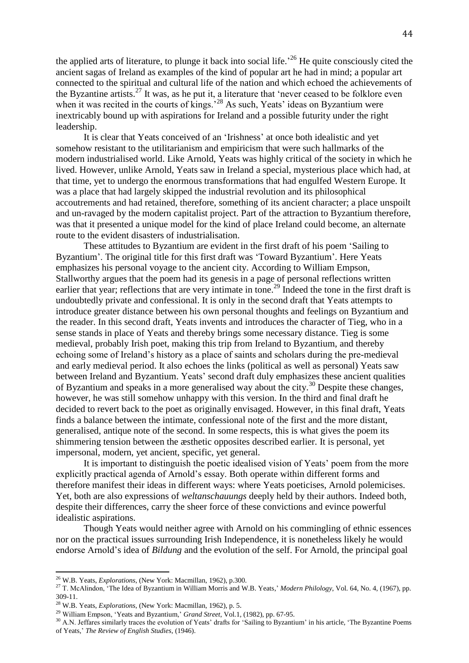the applied arts of literature, to plunge it back into social life.<sup>26</sup> He quite consciously cited the ancient sagas of Ireland as examples of the kind of popular art he had in mind; a popular art connected to the spiritual and cultural life of the nation and which echoed the achievements of the Byzantine artists.<sup>27</sup> It was, as he put it, a literature that 'never ceased to be folklore even when it was recited in the courts of kings.<sup>528</sup> As such, Yeats' ideas on Byzantium were inextricably bound up with aspirations for Ireland and a possible futurity under the right leadership.

It is clear that Yeats conceived of an 'Irishness' at once both idealistic and yet somehow resistant to the utilitarianism and empiricism that were such hallmarks of the modern industrialised world. Like Arnold, Yeats was highly critical of the society in which he lived. However, unlike Arnold, Yeats saw in Ireland a special, mysterious place which had, at that time, yet to undergo the enormous transformations that had engulfed Western Europe. It was a place that had largely skipped the industrial revolution and its philosophical accoutrements and had retained, therefore, something of its ancient character; a place unspoilt and un-ravaged by the modern capitalist project. Part of the attraction to Byzantium therefore, was that it presented a unique model for the kind of place Ireland could become, an alternate route to the evident disasters of industrialisation.

These attitudes to Byzantium are evident in the first draft of his poem 'Sailing to Byzantium'. The original title for this first draft was 'Toward Byzantium'. Here Yeats emphasizes his personal voyage to the ancient city. According to William Empson, Stallworthy argues that the poem had its genesis in a page of personal reflections written earlier that year; reflections that are very intimate in tone.<sup>29</sup> Indeed the tone in the first draft is undoubtedly private and confessional. It is only in the second draft that Yeats attempts to introduce greater distance between his own personal thoughts and feelings on Byzantium and the reader. In this second draft, Yeats invents and introduces the character of Tieg, who in a sense stands in place of Yeats and thereby brings some necessary distance. Tieg is some medieval, probably Irish poet, making this trip from Ireland to Byzantium, and thereby echoing some of Ireland's history as a place of saints and scholars during the pre-medieval and early medieval period. It also echoes the links (political as well as personal) Yeats saw between Ireland and Byzantium. Yeats' second draft duly emphasizes these ancient qualities of Byzantium and speaks in a more generalised way about the city.<sup>30</sup> Despite these changes, however, he was still somehow unhappy with this version. In the third and final draft he decided to revert back to the poet as originally envisaged. However, in this final draft, Yeats finds a balance between the intimate, confessional note of the first and the more distant, generalised, antique note of the second. In some respects, this is what gives the poem its shimmering tension between the æsthetic opposites described earlier. It is personal, yet impersonal, modern, yet ancient, specific, yet general.

It is important to distinguish the poetic idealised vision of Yeats' poem from the more explicitly practical agenda of Arnold's essay. Both operate within different forms and therefore manifest their ideas in different ways: where Yeats poeticises, Arnold polemicises. Yet, both are also expressions of *weltanschauungs* deeply held by their authors. Indeed both, despite their differences, carry the sheer force of these convictions and evince powerful idealistic aspirations.

Though Yeats would neither agree with Arnold on his commingling of ethnic essences nor on the practical issues surrounding Irish Independence, it is nonetheless likely he would endorse Arnold's idea of *Bildung* and the evolution of the self. For Arnold, the principal goal

 $\overline{a}$ 

<sup>26</sup> W.B. Yeats, *Explorations*, (New York: Macmillan, 1962), p.300.

<sup>27</sup> T. McAlindon, 'The Idea of Byzantium in William Morris and W.B. Yeats,' *Modern Philology*, Vol. 64, No. 4, (1967), pp. 309-11.

<sup>28</sup> W.B. Yeats, *Explorations*, (New York: Macmillan, 1962), p. 5.

<sup>29</sup> William Empson, 'Yeats and Byzantium,' *Grand Street*, Vol.1, (1982), pp. 67-95.

<sup>&</sup>lt;sup>30</sup> A.N. Jeffares similarly traces the evolution of Yeats' drafts for 'Sailing to Byzantium' in his article, 'The Byzantine Poems of Yeats*,*' *The Review of English Studies*, (1946).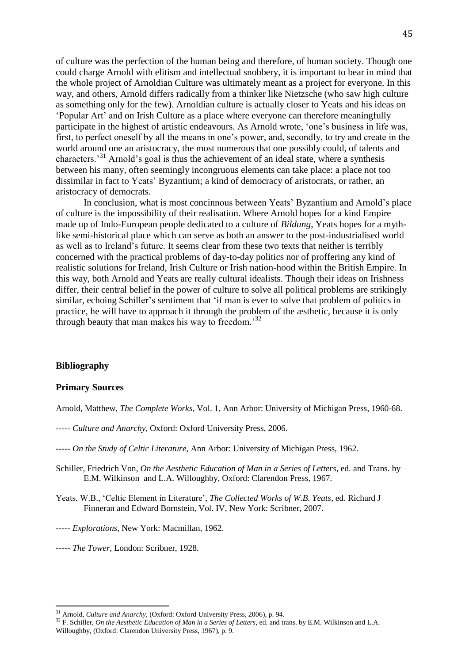of culture was the perfection of the human being and therefore, of human society. Though one could charge Arnold with elitism and intellectual snobbery, it is important to bear in mind that the whole project of Arnoldian Culture was ultimately meant as a project for everyone. In this way, and others, Arnold differs radically from a thinker like Nietzsche (who saw high culture as something only for the few). Arnoldian culture is actually closer to Yeats and his ideas on 'Popular Art' and on Irish Culture as a place where everyone can therefore meaningfully participate in the highest of artistic endeavours. As Arnold wrote, 'one's business in life was, first, to perfect oneself by all the means in one's power, and, secondly, to try and create in the world around one an aristocracy, the most numerous that one possibly could, of talents and characters.'<sup>31</sup> Arnold's goal is thus the achievement of an ideal state, where a synthesis between his many, often seemingly incongruous elements can take place: a place not too dissimilar in fact to Yeats' Byzantium; a kind of democracy of aristocrats, or rather, an aristocracy of democrats.

In conclusion, what is most concinnous between Yeats' Byzantium and Arnold's place of culture is the impossibility of their realisation. Where Arnold hopes for a kind Empire made up of Indo-European people dedicated to a culture of *Bildung*, Yeats hopes for a mythlike semi-historical place which can serve as both an answer to the post-industrialised world as well as to Ireland's future. It seems clear from these two texts that neither is terribly concerned with the practical problems of day-to-day politics nor of proffering any kind of realistic solutions for Ireland, Irish Culture or Irish nation-hood within the British Empire. In this way, both Arnold and Yeats are really cultural idealists. Though their ideas on Irishness differ, their central belief in the power of culture to solve all political problems are strikingly similar, echoing Schiller's sentiment that 'if man is ever to solve that problem of politics in practice, he will have to approach it through the problem of the æsthetic, because it is only through beauty that man makes his way to freedom.<sup>32</sup>

## **Bibliography**

l

#### **Primary Sources**

Arnold, Matthew, *The Complete Works,* Vol. 1, Ann Arbor: University of Michigan Press, 1960-68.

- *----- Culture and Anarchy*, Oxford: Oxford University Press, 2006.
- *----- On the Study of Celtic Literature*, Ann Arbor: University of Michigan Press, 1962.
- Schiller, Friedrich Von, *On the Aesthetic Education of Man in a Series of Letters*, ed. and Trans. by E.M. Wilkinson and L.A. Willoughby, Oxford: Clarendon Press, 1967.
- Yeats, W.B., 'Celtic Element in Literature', *The Collected Works of W.B. Yeats*, ed. Richard J Finneran and Edward Bornstein, Vol. IV, New York: Scribner, 2007.
- *----- Explorations,* New York: Macmillan, 1962.
- *----- The Tower*, London: Scribner, 1928.

<sup>31</sup> Arnold, *Culture and Anarchy*, (Oxford: Oxford University Press, 2006), p. 94.

<sup>&</sup>lt;sup>32</sup> F. Schiller, *On the Aesthetic Education of Man in a Series of Letters*, ed. and trans. by E.M. Wilkinson and L.A. Willoughby, (Oxford: Clarendon University Press, 1967), p. 9.